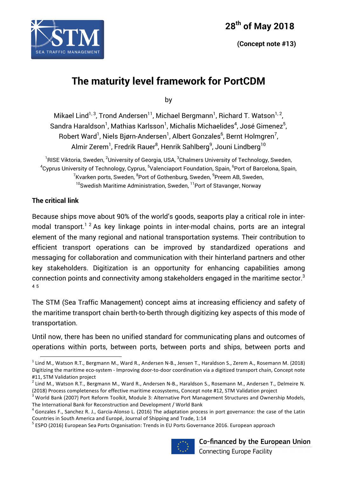

# **The maturity level framework for PortCDM**

by

Mikael Lind $^{1,3}$ , Trond Andersen $^{11}$ , Michael Bergmann $^{1}$ , Richard T. Watson $^{1,\,2}$ , Sandra Haraldson $^{\rm l}$ , Mathias Karlsson $^{\rm l}$ , Michalis Michaelides $^{\rm 4}$ , José Gimenez $^{\rm 5}$ , Robert Ward<sup>1</sup>, Niels Bjørn-Andersen<sup>1</sup>, Albert Gonzales<sup>6</sup>, Bernt Holmgren<sup>7</sup>, Almir Zerem<sup>1</sup>, Fredrik Rauer<sup>8</sup>, Henrik Sahlberg<sup>9</sup>, Jouni Lindberg<sup>10</sup>

 $^{\rm 1}$ RISE Viktoria, Sweden,  $^{\rm 2}$ University of Georgia, USA,  $^{\rm 3}$ Chalmers University of Technology, Sweden,  $^4$ Cyprus University of Technology, Cyprus,  $^5$ Valenciaport Foundation, Spain,  $^6$ Port of Barcelona, Spain,  $^{7}$ Kvarken ports, Sweden,  $^{8}$ Port of Gothenburg, Sweden,  $^{9}$ Preem AB, Sweden, <sup>10</sup>Swedish Maritime Administration, Sweden, <sup>11</sup>Port of Stavanger, Norway

### **The critical link**

 

Because ships move about 90% of the world's goods, seaports play a critical role in intermodal transport.<sup>12</sup> As key linkage points in inter-modal chains, ports are an integral element of the many regional and national transportation systems. Their contribution to efficient transport operations can be improved by standardized operations and messaging for collaboration and communication with their hinterland partners and other key stakeholders. Digitization is an opportunity for enhancing capabilities among connection points and connectivity among stakeholders engaged in the maritime sector. $^3$ 4 5

The STM (Sea Traffic Management) concept aims at increasing efficiency and safety of the maritime transport chain berth-to-berth through digitizing key aspects of this mode of transportation.

Until now, there has been no unified standard for communicating plans and outcomes of operations within ports, between ports, between ports and ships, between ports and

Countries in South America and Europé, Journal of Shipping and Trade, 1:14<br><sup>5</sup> ESPO (2016) European Sea Ports Organisation: Trends in EU Ports Governance 2016. European approach



Co-financed by the European Union **Connecting Europe Facility** 

 $<sup>1</sup>$  Lind M., Watson R.T., Bergmann M., Ward R., Andersen N-B., Jensen T., Haraldson S., Zerem A., Rosemann M. (2018)</sup> Digitizing the maritime eco-system - Improving door-to-door coordination via a digitized transport chain, Concept note

<sup>#11,</sup> STM Validation project<br><sup>2</sup> Lind M., Watson R.T., Bergmann M., Ward R., Andersen N-B., Haraldson S., Rosemann M., Andersen T., Delmeire N.

<sup>(2018)</sup> Process completeness for effective maritime ecosystems, Concept note #12, STM Validation project  $^3$  World Bank (2007) Port Reform Toolkit, Module 3: Alternative Port Management Structures and Ownership Models, The International Bank for Reconstruction and Development / World Bank

 $^4$  Gonzales F., Sanchez R. J., Garcia-Alonso L. (2016) The adaptation process in port governance: the case of the Latin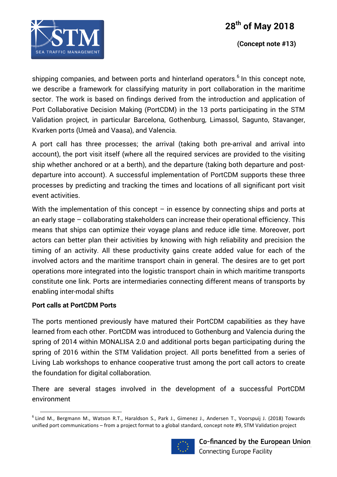

shipping companies, and between ports and hinterland operators.<sup>6</sup> In this concept note, we describe a framework for classifying maturity in port collaboration in the maritime sector. The work is based on findings derived from the introduction and application of Port Collaborative Decision Making (PortCDM) in the 13 ports participating in the STM Validation project, in particular Barcelona, Gothenburg, Limassol, Sagunto, Stavanger, Kvarken ports (Umeå and Vaasa), and Valencia.

A port call has three processes; the arrival (taking both pre-arrival and arrival into account), the port visit itself (where all the required services are provided to the visiting ship whether anchored or at a berth), and the departure (taking both departure and postdeparture into account). A successful implementation of PortCDM supports these three processes by predicting and tracking the times and locations of all significant port visit event activities.

With the implementation of this concept  $-$  in essence by connecting ships and ports at an early stage – collaborating stakeholders can increase their operational efficiency. This means that ships can optimize their voyage plans and reduce idle time. Moreover, port actors can better plan their activities by knowing with high reliability and precision the timing of an activity. All these productivity gains create added value for each of the involved actors and the maritime transport chain in general. The desires are to get port operations more integrated into the logistic transport chain in which maritime transports constitute one link. Ports are intermediaries connecting different means of transports by enabling inter-modal shifts

#### **Port calls at PortCDM Ports**

<u> 1989 - Johann Stein, fransk politik (d. 1989)</u>

The ports mentioned previously have matured their PortCDM capabilities as they have learned from each other. PortCDM was introduced to Gothenburg and Valencia during the spring of 2014 within MONALISA 2.0 and additional ports began participating during the spring of 2016 within the STM Validation project. All ports benefitted from a series of Living Lab workshops to enhance cooperative trust among the port call actors to create the foundation for digital collaboration.

There are several stages involved in the development of a successful PortCDM environment

 $6$  Lind M., Bergmann M., Watson R.T., Haraldson S., Park J., Gimenez J., Andersen T., Voorspuij J. (2018) Towards unified port communications – from a project format to a global standard, concept note #9, STM Validation project

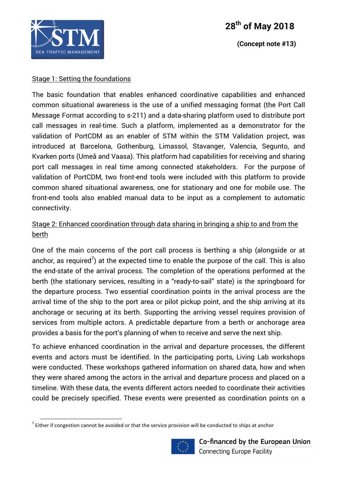

# **28th of May 2018**

 **(Concept note #13)**

#### Stage 1: Setting the foundations

<u> 1989 - Johann Stein, fransk politik (d. 1989)</u>

The basic foundation that enables enhanced coordinative capabilities and enhanced common situational awareness is the use of a unified messaging format (the Port Call Message Format according to s-211) and a data-sharing platform used to distribute port call messages in real-time. Such a platform, implemented as a demonstrator for the validation of PortCDM as an enabler of STM within the STM Validation project, was introduced at Barcelona, Gothenburg, Limassol, Stavanger, Valencia, Segunto, and Kvarken ports (Umeå and Vaasa). This platform had capabilities for receiving and sharing port call messages in real time among connected stakeholders. For the purpose of validation of PortCDM, two front-end tools were included with this platform to provide common shared situational awareness, one for stationary and one for mobile use. The front-end tools also enabled manual data to be input as a complement to automatic connectivity.

## Stage 2: Enhanced coordination through data sharing in bringing a ship to and from the berth

One of the main concerns of the port call process is berthing a ship (alongside or at anchor, as required<sup>7</sup>) at the expected time to enable the purpose of the call. This is also the end-state of the arrival process. The completion of the operations performed at the berth (the stationary services, resulting in a "ready-to-sail" state) is the springboard for the departure process. Two essential coordination points in the arrival process are the arrival time of the ship to the port area or pilot pickup point, and the ship arriving at its anchorage or securing at its berth. Supporting the arriving vessel requires provision of services from multiple actors. A predictable departure from a berth or anchorage area provides a basis for the port's planning of when to receive and serve the next ship.

To achieve enhanced coordination in the arrival and departure processes, the different events and actors must be identified. In the participating ports, Living Lab workshops were conducted. These workshops gathered information on shared data, how and when they were shared among the actors in the arrival and departure process and placed on a timeline. With these data, the events different actors needed to coordinate their activities could be precisely specified. These events were presented as coordination points on a

 $<sup>7</sup>$  Either if congestion cannot be avoided or that the service provision will be conducted to ships at anchor</sup>

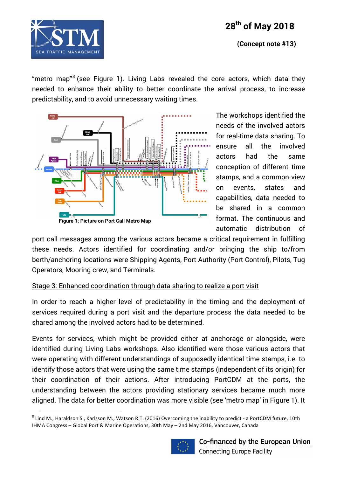



 **(Concept note #13)**

"metro map"<sup>8</sup> (see Figure 1). Living Labs revealed the core actors, which data they needed to enhance their ability to better coordinate the arrival process, to increase predictability, and to avoid unnecessary waiting times.



The workshops identified the needs of the involved actors for real-time data sharing. To ensure all the involved actors had the same conception of different time stamps, and a common view on events, states and capabilities, data needed to be shared in a common format. The continuous and automatic distribution of

port call messages among the various actors became a critical requirement in fulfilling these needs. Actors identified for coordinating and/or bringing the ship to/from berth/anchoring locations were Shipping Agents, Port Authority (Port Control), Pilots, Tug Operators, Mooring crew, and Terminals.

#### Stage 3: Enhanced coordination through data sharing to realize a port visit

In order to reach a higher level of predictability in the timing and the deployment of services required during a port visit and the departure process the data needed to be shared among the involved actors had to be determined.

Events for services, which might be provided either at anchorage or alongside, were identified during Living Labs workshops. Also identified were those various actors that were operating with different understandings of supposedly identical time stamps, i.e. to identify those actors that were using the same time stamps (independent of its origin) for their coordination of their actions. After introducing PortCDM at the ports, the understanding between the actors providing stationary services became much more aligned. The data for better coordination was more visible (see 'metro map' in Figure 1). It

<u> 1989 - Johann Stein, fransk politik (d. 1989)</u>

![](_page_3_Picture_11.jpeg)

 $8$  Lind M., Haraldson S., Karlsson M., Watson R.T. (2016) Overcoming the inability to predict - a PortCDM future, 10th IHMA Congress - Global Port & Marine Operations, 30th May - 2nd May 2016, Vancouver, Canada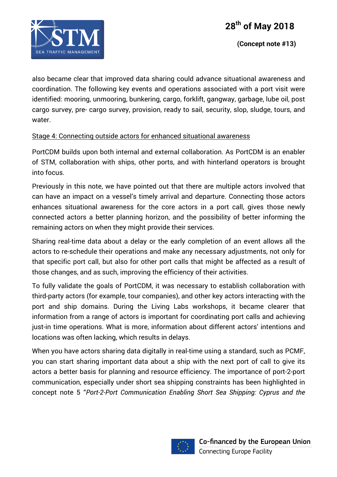![](_page_4_Picture_1.jpeg)

also became clear that improved data sharing could advance situational awareness and coordination. The following key events and operations associated with a port visit were identified: mooring, unmooring, bunkering, cargo, forklift, gangway, garbage, lube oil, post cargo survey, pre- cargo survey, provision, ready to sail, security, slop, sludge, tours, and water.

### Stage 4: Connecting outside actors for enhanced situational awareness

PortCDM builds upon both internal and external collaboration. As PortCDM is an enabler of STM, collaboration with ships, other ports, and with hinterland operators is brought into focus.

Previously in this note, we have pointed out that there are multiple actors involved that can have an impact on a vessel's timely arrival and departure. Connecting those actors enhances situational awareness for the core actors in a port call, gives those newly connected actors a better planning horizon, and the possibility of better informing the remaining actors on when they might provide their services.

Sharing real-time data about a delay or the early completion of an event allows all the actors to re-schedule their operations and make any necessary adjustments, not only for that specific port call, but also for other port calls that might be affected as a result of those changes, and as such, improving the efficiency of their activities.

To fully validate the goals of PortCDM, it was necessary to establish collaboration with third-party actors (for example, tour companies), and other key actors interacting with the port and ship domains. During the Living Labs workshops, it became clearer that information from a range of actors is important for coordinating port calls and achieving just-in time operations. What is more, information about different actors' intentions and locations was often lacking, which results in delays.

When you have actors sharing data digitally in real-time using a standard, such as PCMF, you can start sharing important data about a ship with the next port of call to give its actors a better basis for planning and resource efficiency. The importance of port-2-port communication, especially under short sea shipping constraints has been highlighted in concept note 5 "*Port-2-Port Communication Enabling Short Sea Shipping: Cyprus and the* 

![](_page_4_Picture_10.jpeg)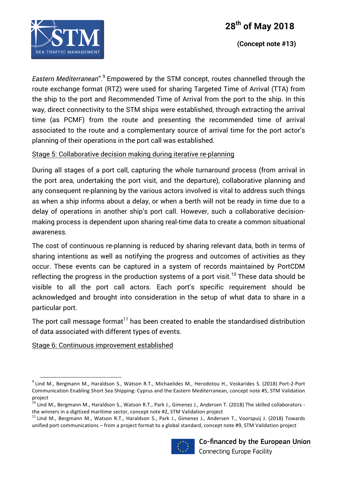![](_page_5_Picture_1.jpeg)

*Eastern Mediterranean*". <sup>9</sup> Empowered by the STM concept, routes channelled through the route exchange format (RTZ) were used for sharing Targeted Time of Arrival (TTA) from the ship to the port and Recommended Time of Arrival from the port to the ship. In this way, direct connectivity to the STM ships were established, through extracting the arrival time (as PCMF) from the route and presenting the recommended time of arrival associated to the route and a complementary source of arrival time for the port actor's planning of their operations in the port call was established.

#### Stage 5: Collaborative decision making during iterative re-planning

During all stages of a port call, capturing the whole turnaround process (from arrival in the port area, undertaking the port visit, and the departure), collaborative planning and any consequent re-planning by the various actors involved is vital to address such things as when a ship informs about a delay, or when a berth will not be ready in time due to a delay of operations in another ship's port call. However, such a collaborative decisionmaking process is dependent upon sharing real-time data to create a common situational awareness.

The cost of continuous re-planning is reduced by sharing relevant data, both in terms of sharing intentions as well as notifying the progress and outcomes of activities as they occur. These events can be captured in a system of records maintained by PortCDM reflecting the progress in the production systems of a port visit.<sup>10</sup> These data should be visible to all the port call actors. Each port's specific requirement should be acknowledged and brought into consideration in the setup of what data to share in a particular port.

The port call message format<sup>11</sup> has been created to enable the standardised distribution of data associated with different types of events.

Stage 6: Continuous improvement established

<u> 1989 - Johann Stein, fransk politik (d. 1989)</u>

unified port communications – from a project format to a global standard, concept note #9, STM Validation project

![](_page_5_Picture_12.jpeg)

 $9$  Lind M., Bergmann M., Haraldson S., Watson R.T., Michaelides M., Herodotou H., Voskarides S. (2018) Port-2-Port Communication Enabling Short Sea Shipping: Cyprus and the Eastern Mediterranean, concept note #5, STM Validation project

 $^{10}$  Lind M., Bergmann M., Haraldson S., Watson R.T., Park J., Gimenez J., Andersen T. (2018) The skilled collaborators the winners in a digitized maritime sector, concept note #2, STM Validation project<br><sup>11</sup> Lind M., Bergmann M., Watson R.T., Haraldson S., Park J., Gimenez J., Andersen T., Voorspuij J. (2018) Towards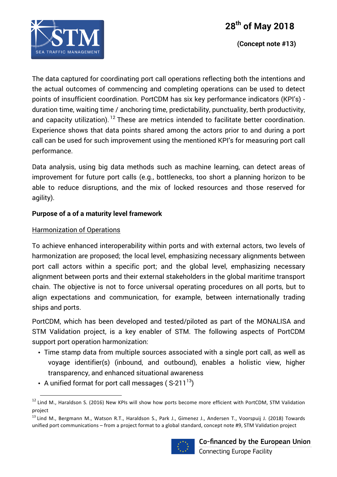![](_page_6_Picture_1.jpeg)

 **(Concept note #13)**

The data captured for coordinating port call operations reflecting both the intentions and the actual outcomes of commencing and completing operations can be used to detect points of insufficient coordination. PortCDM has six key performance indicators (KPI's) duration time, waiting time / anchoring time, predictability, punctuality, berth productivity, and capacity utilization). <sup>12</sup> These are metrics intended to facilitate better coordination. Experience shows that data points shared among the actors prior to and during a port call can be used for such improvement using the mentioned KPI's for measuring port call performance.

Data analysis, using big data methods such as machine learning, can detect areas of improvement for future port calls (e.g., bottlenecks, too short a planning horizon to be able to reduce disruptions, and the mix of locked resources and those reserved for agility).

### **Purpose of a of a maturity level framework**

### Harmonization of Operations

<u> 1989 - Johann Stein, fransk politik (d. 1989)</u>

To achieve enhanced interoperability within ports and with external actors, two levels of harmonization are proposed; the local level, emphasizing necessary alignments between port call actors within a specific port; and the global level, emphasizing necessary alignment between ports and their external stakeholders in the global maritime transport chain. The objective is not to force universal operating procedures on all ports, but to align expectations and communication, for example, between internationally trading ships and ports.

PortCDM, which has been developed and tested/piloted as part of the MONALISA and STM Validation project, is a key enabler of STM. The following aspects of PortCDM support port operation harmonization:

- Time stamp data from multiple sources associated with a single port call, as well as voyage identifier(s) (inbound, and outbound), enables a holistic view, higher transparency, and enhanced situational awareness
- A unified format for port call messages ( $S-211^{13}$ )

<sup>&</sup>lt;sup>13</sup> Lind M., Bergmann M., Watson R.T., Haraldson S., Park J., Gimenez J., Andersen T., Voorspuij J. (2018) Towards unified port communications – from a project format to a global standard, concept note #9, STM Validation project

![](_page_6_Picture_13.jpeg)

 $12$  Lind M., Haraldson S. (2016) New KPIs will show how ports become more efficient with PortCDM, STM Validation project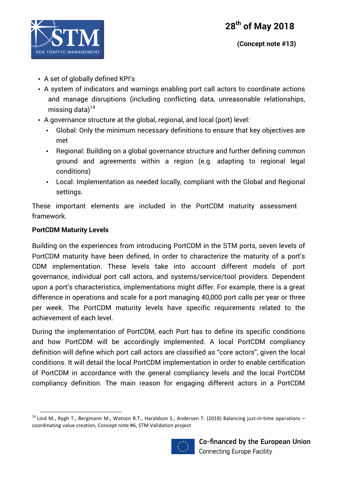![](_page_7_Picture_1.jpeg)

- A set of globally defined KPI's
- A system of indicators and warnings enabling port call actors to coordinate actions and manage disruptions (including conflicting data, unreasonable relationships, missing data) $14$
- A governance structure at the global, regional, and local (port) level:
	- Global: Only the minimum necessary definitions to ensure that key objectives are met
	- Regional: Building on a global governance structure and further defining common ground and agreements within a region (e.g. adapting to regional legal conditions)
	- Local: Implementation as needed locally, compliant with the Global and Regional settings.

These important elements are included in the PortCDM maturity assessment framework.

### **PortCDM Maturity Levels**

<u> 1989 - Johann Stein, fransk politik (d. 1989)</u>

Building on the experiences from introducing PortCDM in the STM ports, seven levels of PortCDM maturity have been defined, In order to characterize the maturity of a port's CDM implementation. These levels take into account different models of port governance, individual port call actors, and systems/service/tool providers. Dependent upon a port's characteristics, implementations might differ. For example, there is a great difference in operations and scale for a port managing 40,000 port calls per year or three per week. The PortCDM maturity levels have specific requirements related to the achievement of each level.

During the implementation of PortCDM, each Port has to define its specific conditions and how PortCDM will be accordingly implemented. A local PortCDM compliancy definition will define which port call actors are classified as "core actors", given the local conditions. It will detail the local PortCDM implementation in order to enable certification of PortCDM in accordance with the general compliancy levels and the local PortCDM compliancy definition. The main reason for engaging different actors in a PortCDM

 $14$  Lind M., Rygh T., Bergmann M., Watson R.T., Haraldson S., Andersen T. (2018) Balancing just-in-time operations  $$ coordinating value creation, Concept note #6, STM Validation project

![](_page_7_Picture_14.jpeg)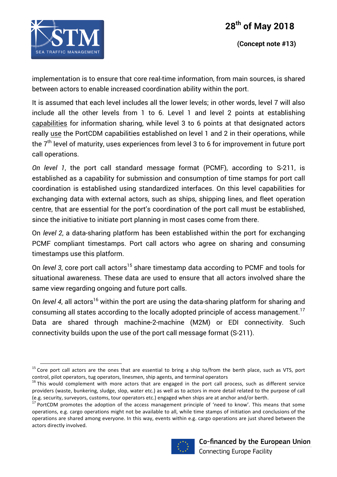![](_page_8_Picture_1.jpeg)

<u> 1989 - Johann Stein, fransk politik (d. 1989)</u>

implementation is to ensure that core real-time information, from main sources, is shared between actors to enable increased coordination ability within the port.

It is assumed that each level includes all the lower levels; in other words, level 7 will also include all the other levels from 1 to 6. Level 1 and level 2 points at establishing capabilities for information sharing, while level 3 to 6 points at that designated actors really use the PortCDM capabilities established on level 1 and 2 in their operations, while the 7<sup>th</sup> level of maturity, uses experiences from level 3 to 6 for improvement in future port call operations.

*On level 1*, the port call standard message format (PCMF), according to S-211, is established as a capability for submission and consumption of time stamps for port call coordination is established using standardized interfaces. On this level capabilities for exchanging data with external actors, such as ships, shipping lines, and fleet operation centre, that are essential for the port's coordination of the port call must be established, since the initiative to initiate port planning in most cases come from there.

On *level 2*, a data-sharing platform has been established within the port for exchanging PCMF compliant timestamps. Port call actors who agree on sharing and consuming timestamps use this platform.

On *level 3*, core port call actors<sup>15</sup> share timestamp data according to PCMF and tools for situational awareness. These data are used to ensure that all actors involved share the same view regarding ongoing and future port calls.

On *level 4*, all actors<sup>16</sup> within the port are using the data-sharing platform for sharing and consuming all states according to the locally adopted principle of access management.<sup>17</sup> Data are shared through machine-2-machine (M2M) or EDI connectivity. Such connectivity builds upon the use of the port call message format (S-211).

PortCDM promotes the adoption of the access management principle of 'need to know'. This means that some operations, e.g. cargo operations might not be available to all, while time stamps of initiation and conclusions of the operations are shared among everyone. In this way, events within e.g. cargo operations are just shared between the actors directly involved.

![](_page_8_Picture_12.jpeg)

 $15$  Core port call actors are the ones that are essential to bring a ship to/from the berth place, such as VTS, port control, pilot operators, tug operators, linesmen, ship agents, and terminal operators

 $16$  This would complement with more actors that are engaged in the port call process, such as different service providers (waste, bunkering, sludge, slop, water etc.) as well as to actors in more detail related to the purpose of call (e.g. security, surveyors, customs, tour operators etc.) engaged when ships are at anchor and/or berth.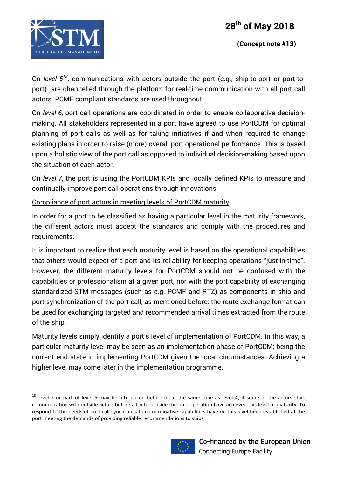![](_page_9_Picture_1.jpeg)

<u> 1989 - Johann Stein, fransk politik (d. 1989)</u>

On *level 518*, communications with actors outside the port (e.g., ship-to-port or port-toport) are channelled through the platform for real-time communication with all port call actors. PCMF compliant standards are used throughout.

On *level 6*, port call operations are coordinated in order to enable collaborative decisionmaking. All stakeholders represented in a port have agreed to use PortCDM for optimal planning of port calls as well as for taking initiatives if and when required to change existing plans in order to raise (more) overall port operational performance. This is based upon a holistic view of the port call as opposed to individual decision-making based upon the situation of each actor.

On *level 7*, the port is using the PortCDM KPIs and locally defined KPIs to measure and continually improve port call operations through innovations.

Compliance of port actors in meeting levels of PortCDM maturity

In order for a port to be classified as having a particular level in the maturity framework, the different actors must accept the standards and comply with the procedures and requirements.

It is important to realize that each maturity level is based on the operational capabilities that others would expect of a port and its reliability for keeping operations "just-in-time". However, the different maturity levels for PortCDM should not be confused with the capabilities or professionalism at a given port, nor with the port capability of exchanging standardized STM messages (such as e.g. PCMF and RTZ) as components in ship and port synchronization of the port call, as mentioned before: the route exchange format can be used for exchanging targeted and recommended arrival times extracted from the route of the ship.

Maturity levels simply identify a port's level of implementation of PortCDM. In this way, a particular maturity level may be seen as an implementation phase of PortCDM; being the current end state in implementing PortCDM given the local circumstances. Achieving a higher level may come later in the implementation programme.

 $18$  Level 5 or part of level 5 may be introduced before or at the same time as level 4, if some of the actors start communicating with outside actors before all actors inside the port operation have achieved this level of maturity. To respond to the needs of port call synchronisation coordinative capabilities have on this level been established at the port meeting the demands of providing reliable recommendations to ships

![](_page_9_Picture_11.jpeg)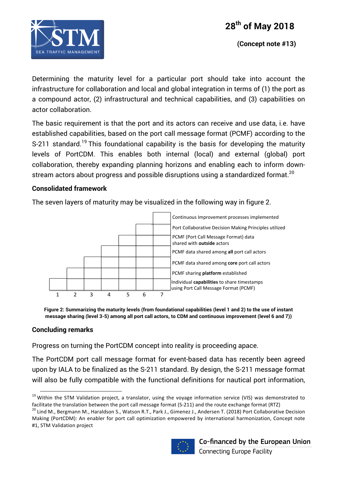![](_page_10_Picture_0.jpeg)

![](_page_10_Picture_1.jpeg)

Determining the maturity level for a particular port should take into account the infrastructure for collaboration and local and global integration in terms of (1) the port as a compound actor, (2) infrastructural and technical capabilities, and (3) capabilities on actor collaboration.

The basic requirement is that the port and its actors can receive and use data, i.e. have established capabilities, based on the port call message format (PCMF) according to the S-211 standard.<sup>19</sup> This foundational capability is the basis for developing the maturity levels of PortCDM. This enables both internal (local) and external (global) port collaboration, thereby expanding planning horizons and enabling each to inform downstream actors about progress and possible disruptions using a standardized format.<sup>20</sup>

#### **Consolidated framework**

The seven layers of maturity may be visualized in the following way in figure 2.

![](_page_10_Figure_7.jpeg)

**Figure 2: Summarizing the maturity levels (from foundational capabilities (level 1 and 2) to the use of instant message sharing (level 3-5) among all port call actors, to CDM and continuous improvement (level 6 and 7))**

#### **Concluding remarks**

Progress on turning the PortCDM concept into reality is proceeding apace.

The PortCDM port call message format for event-based data has recently been agreed upon by IALA to be finalized as the S-211 standard. By design, the S-211 message format will also be fully compatible with the functional definitions for nautical port information,

Making (PortCDM): An enabler for port call optimization empowered by international harmonization, Concept note #1, STM Validation project

![](_page_10_Picture_14.jpeg)

<sup>&</sup>lt;u> 1989 - Johann Stein, fransk politik (d. 1989)</u>  $19$  Within the STM Validation project, a translator, using the voyage information service (VIS) was demonstrated to facilitate the translation between the port call message format (S-211) and the route exchange format (RTZ)<br><sup>20</sup> Lind M., Bergmann M., Haraldson S., Watson R.T., Park J., Gimenez J., Andersen T. (2018) Port Collaborative